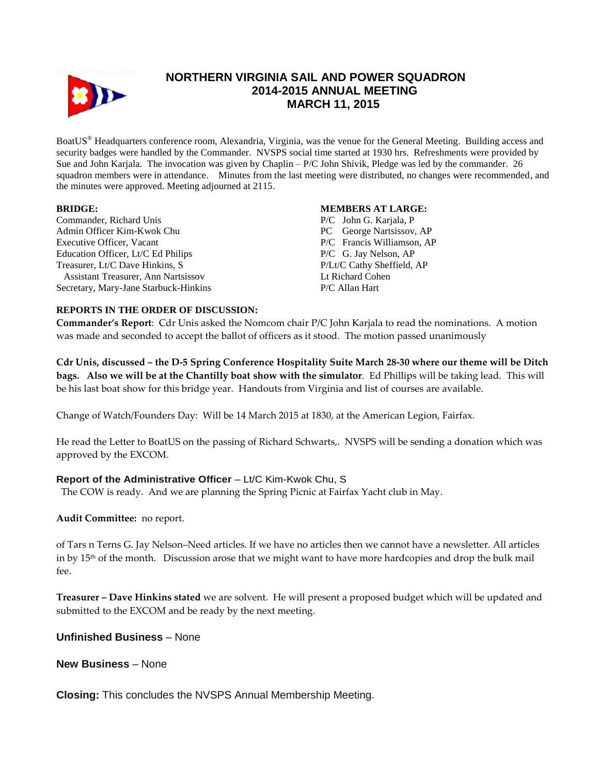

# **NORTHERN VIRGINIA SAIL AND POWER SQUADRON 2014-2015 ANNUAL MEETING MARCH 11, 2015**

BoatUS® Headquarters conference room, Alexandria, Virginia, was the venue for the General Meeting. Building access and security badges were handled by the Commander. NVSPS social time started at 1930 hrs. Refreshments were provided by Sue and John Karjala. The invocation was given by Chaplin – P/C John Shivik, Pledge was led by the commander. 26 squadron members were in attendance. Minutes from the last meeting were distributed, no changes were recommended, and the minutes were approved. Meeting adjourned at 2115.

### **BRIDGE:**

Commander, Richard Unis Admin Officer Kim-Kwok Chu Executive Officer, Vacant Education Officer, Lt/C Ed Philips Treasurer, Lt/C Dave Hinkins, S Assistant Treasurer, Ann Nartsissov Secretary, Mary-Jane Starbuck-Hinkins

#### **MEMBERS AT LARGE:**

P/C John G. Karjala, P PC George Nartsissov, AP P/C Francis Williamson, AP P/C G. Jay Nelson, AP P/Lt/C Cathy Sheffield, AP Lt Richard Cohen P/C Allan Hart

### **REPORTS IN THE ORDER OF DISCUSSION:**

**Commander's Report**: Cdr Unis asked the Nomcom chair P/C John Karjala to read the nominations. A motion was made and seconded to accept the ballot of officers as it stood. The motion passed unanimously

**Cdr Unis, discussed – the D-5 Spring Conference Hospitality Suite March 28-30 where our theme will be Ditch bags. Also we will be at the Chantilly boat show with the simulator**. Ed Phillips will be taking lead. This will be his last boat show for this bridge year. Handouts from Virginia and list of courses are available.

Change of Watch/Founders Day: Will be 14 March 2015 at 1830, at the American Legion, Fairfax.

He read the Letter to BoatUS on the passing of Richard Schwarts,. NVSPS will be sending a donation which was approved by the EXCOM.

## **Report of the Administrative Officer** – Lt/C Kim-Kwok Chu, S

The COW is ready. And we are planning the Spring Picnic at Fairfax Yacht club in May.

### **Audit Committee:** no report.

of Tars n Terns G. Jay Nelson–Need articles. If we have no articles then we cannot have a newsletter. All articles in by  $15<sup>th</sup>$  of the month. Discussion arose that we might want to have more hardcopies and drop the bulk mail fee.

**Treasurer – Dave Hinkins stated** we are solvent. He will present a proposed budget which will be updated and submitted to the EXCOM and be ready by the next meeting.

**Unfinished Business** – None

**New Business** – None

**Closing:** This concludes the NVSPS Annual Membership Meeting.